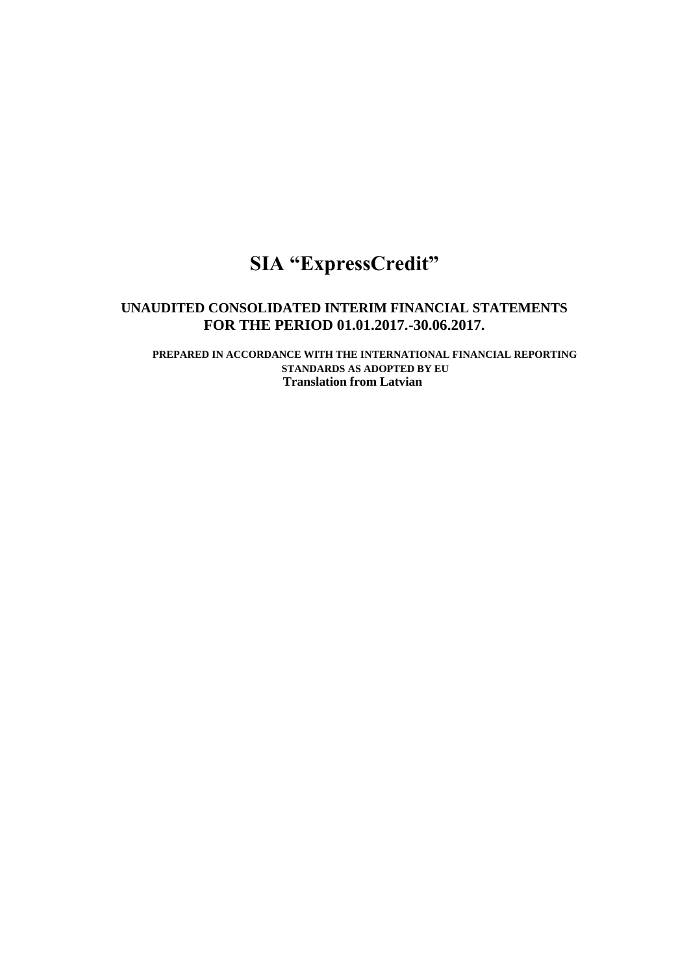# **SIA "ExpressCredit"**

# **UNAUDITED CONSOLIDATED INTERIM FINANCIAL STATEMENTS FOR THE PERIOD 01.01.2017.-30.06.2017.**

**PREPARED IN ACCORDANCE WITH THE INTERNATIONAL FINANCIAL REPORTING STANDARDS AS ADOPTED BY EU Translation from Latvian**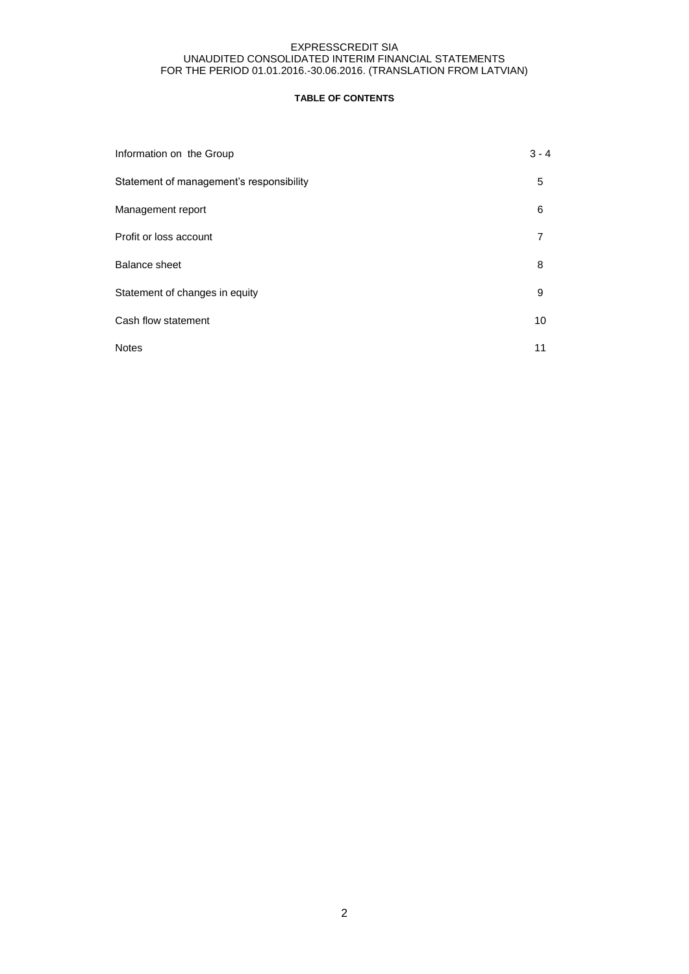# **TABLE OF CONTENTS**

| Information on the Group                 | 3 - 4 |
|------------------------------------------|-------|
| Statement of management's responsibility | 5     |
| Management report                        | 6     |
| Profit or loss account                   |       |
| <b>Balance sheet</b>                     | 8     |
| Statement of changes in equity           | 9     |
| Cash flow statement                      | 10    |
| <b>Notes</b>                             | 11    |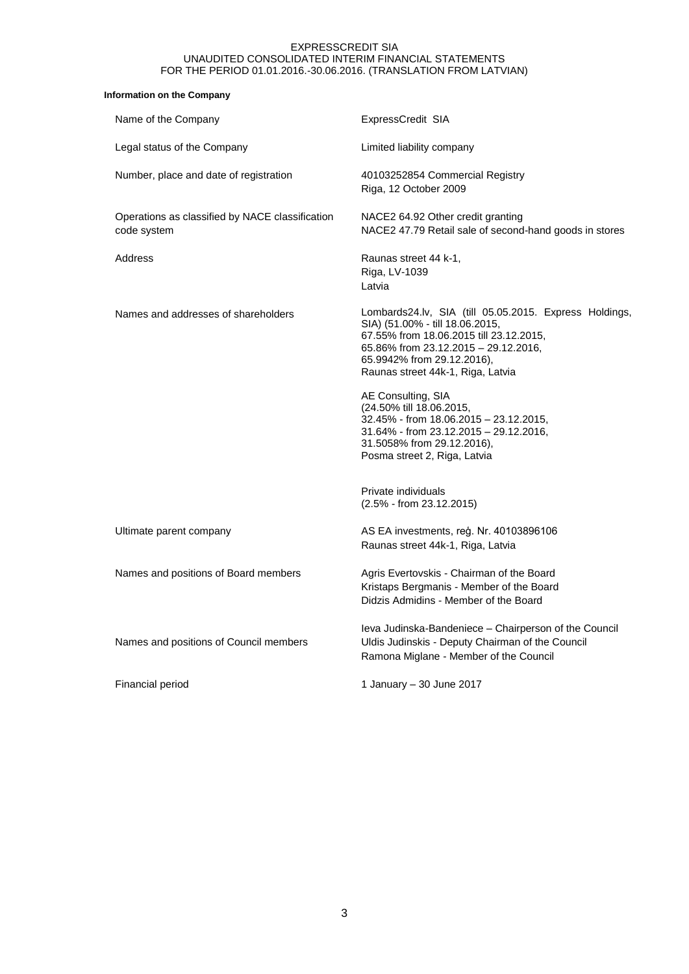# **Information on the Company**

| Name of the Company                                            | ExpressCredit SIA                                                                                                                                                                                                                               |
|----------------------------------------------------------------|-------------------------------------------------------------------------------------------------------------------------------------------------------------------------------------------------------------------------------------------------|
| Legal status of the Company                                    | Limited liability company                                                                                                                                                                                                                       |
| Number, place and date of registration                         | 40103252854 Commercial Registry<br>Riga, 12 October 2009                                                                                                                                                                                        |
| Operations as classified by NACE classification<br>code system | NACE2 64.92 Other credit granting<br>NACE2 47.79 Retail sale of second-hand goods in stores                                                                                                                                                     |
| Address                                                        | Raunas street 44 k-1,<br>Riga, LV-1039<br>Latvia                                                                                                                                                                                                |
| Names and addresses of shareholders                            | Lombards24.lv, SIA (till 05.05.2015. Express Holdings,<br>SIA) (51.00% - till 18.06.2015,<br>67.55% from 18.06.2015 till 23.12.2015,<br>65.86% from 23.12.2015 - 29.12.2016,<br>65.9942% from 29.12.2016),<br>Raunas street 44k-1, Riga, Latvia |
|                                                                | AE Consulting, SIA<br>(24.50% till 18.06.2015,<br>32.45% - from 18.06.2015 - 23.12.2015,<br>31.64% - from 23.12.2015 - 29.12.2016,<br>31.5058% from 29.12.2016),<br>Posma street 2, Riga, Latvia                                                |
|                                                                | Private individuals<br>$(2.5\% - from 23.12.2015)$                                                                                                                                                                                              |
| Ultimate parent company                                        | AS EA investments, reg. Nr. 40103896106<br>Raunas street 44k-1, Riga, Latvia                                                                                                                                                                    |
| Names and positions of Board members                           | Agris Evertovskis - Chairman of the Board<br>Kristaps Bergmanis - Member of the Board<br>Didzis Admidins - Member of the Board                                                                                                                  |
| Names and positions of Council members                         | leva Judinska-Bandeniece – Chairperson of the Council<br>Uldis Judinskis - Deputy Chairman of the Council<br>Ramona Miglane - Member of the Council                                                                                             |
| Financial period                                               | 1 January – 30 June 2017                                                                                                                                                                                                                        |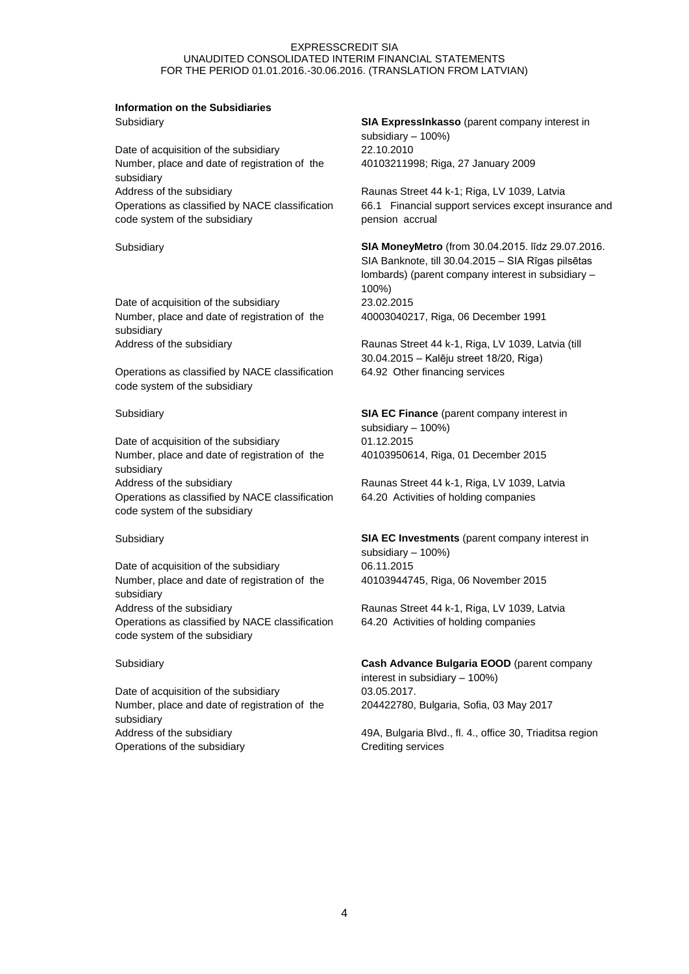# **Information on the Subsidiaries**

Date of acquisition of the subsidiary 22.10.2010 Number, place and date of registration of the subsidiary Address of the subsidiary **Raunas Street 44 k-1; Riga, LV 1039, Latvia** Operations as classified by NACE classification code system of the subsidiary

Date of acquisition of the subsidiary 23.02.2015 Number, place and date of registration of the subsidiary

Operations as classified by NACE classification code system of the subsidiary

Date of acquisition of the subsidiary 01.12.2015 Number, place and date of registration of the subsidiary Address of the subsidiary **Raunas Street 44 k-1, Riga, LV 1039, Latvia** Operations as classified by NACE classification code system of the subsidiary

Date of acquisition of the subsidiary 06.11.2015 Number, place and date of registration of the subsidiary Address of the subsidiary extending the Raunas Street 44 k-1, Riga, LV 1039, Latvia Operations as classified by NACE classification code system of the subsidiary

Date of acquisition of the subsidiary 03.05.2017. Number, place and date of registration of the subsidiary Operations of the subsidiary example of the subsidiary crediting services

Subsidiary **SIA ExpressInkasso** (parent company interest in subsidiary – 100%) 40103211998; Riga, 27 January 2009

> 66.1 Financial support services except insurance and pension accrual

Subsidiary **SIA MoneyMetro** (from 30.04.2015. līdz 29.07.2016. SIA Banknote, till 30.04.2015 – SIA Rīgas pilsētas lombards) (parent company interest in subsidiary – 100%) 40003040217, Riga, 06 December 1991

Address of the subsidiary **Raunas Street 44 k-1, Riga, LV 1039, Latvia (till** 30.04.2015 – Kalēju street 18/20, Riga) 64.92 Other financing services

Subsidiary **SIA EC Finance** (parent company interest in subsidiary – 100%) 40103950614, Riga, 01 December 2015

64.20 Activities of holding companies

Subsidiary **SIA EC Investments** (parent company interest in subsidiary – 100%) 40103944745, Riga, 06 November 2015

64.20 Activities of holding companies

Subsidiary **Cash Advance Bulgaria EOOD** (parent company interest in subsidiary – 100%) 204422780, Bulgaria, Sofia, 03 May 2017

Address of the subsidiary **49A, Bulgaria Blvd., fl. 4., office 30, Triaditsa region** 49A, Bulgaria Blvd., fl. 4., office 30, Triaditsa region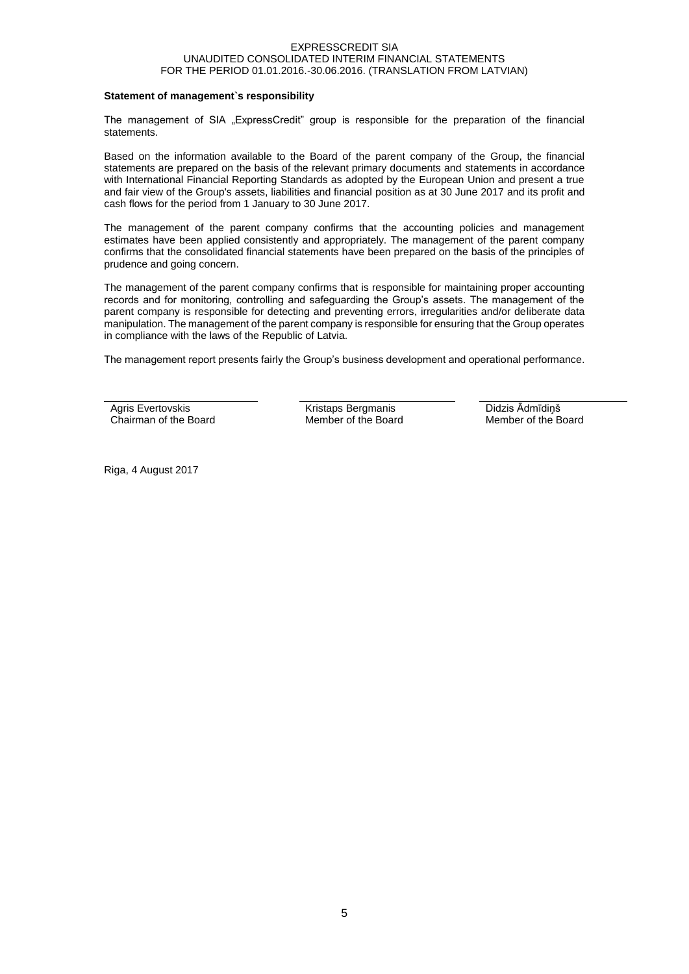#### **Statement of management`s responsibility**

The management of SIA "ExpressCredit" group is responsible for the preparation of the financial statements.

Based on the information available to the Board of the parent company of the Group, the financial statements are prepared on the basis of the relevant primary documents and statements in accordance with International Financial Reporting Standards as adopted by the European Union and present a true and fair view of the Group's assets, liabilities and financial position as at 30 June 2017 and its profit and cash flows for the period from 1 January to 30 June 2017.

The management of the parent company confirms that the accounting policies and management estimates have been applied consistently and appropriately. The management of the parent company confirms that the consolidated financial statements have been prepared on the basis of the principles of prudence and going concern.

The management of the parent company confirms that is responsible for maintaining proper accounting records and for monitoring, controlling and safeguarding the Group's assets. The management of the parent company is responsible for detecting and preventing errors, irregularities and/or deliberate data manipulation. The management of the parent company is responsible for ensuring that the Group operates in compliance with the laws of the Republic of Latvia.

The management report presents fairly the Group's business development and operational performance.

Agris Evertovskis Chairman of the Board Kristaps Bergmanis Member of the Board Didzis Ādmīdiņš Member of the Board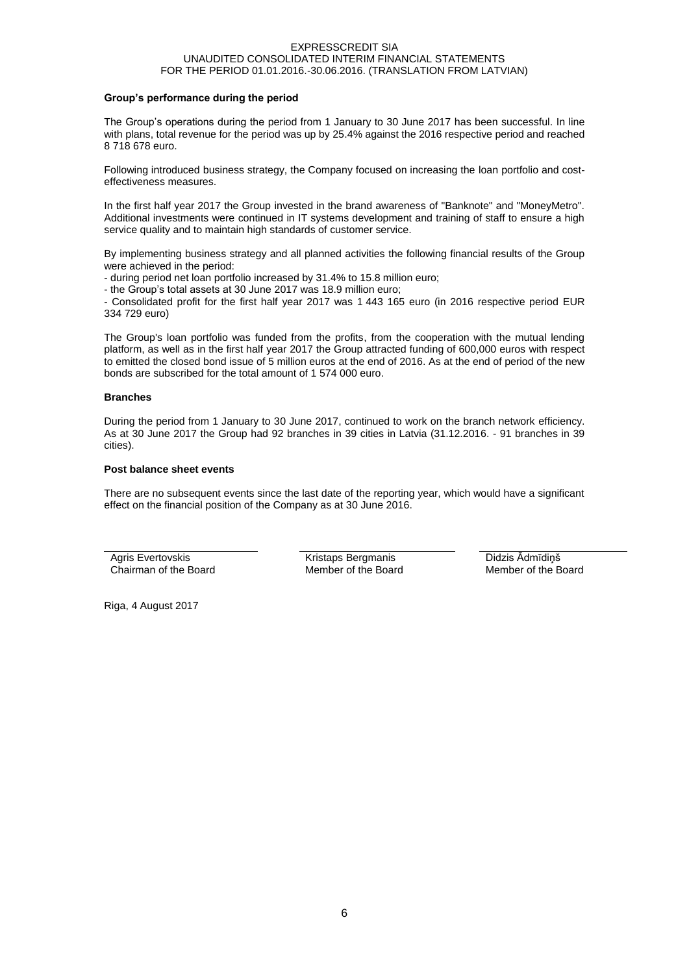#### **Group's performance during the period**

The Group's operations during the period from 1 January to 30 June 2017 has been successful. In line with plans, total revenue for the period was up by 25.4% against the 2016 respective period and reached 8 718 678 euro.

Following introduced business strategy, the Company focused on increasing the loan portfolio and costeffectiveness measures.

In the first half year 2017 the Group invested in the brand awareness of "Banknote" and "MoneyMetro". Additional investments were continued in IT systems development and training of staff to ensure a high service quality and to maintain high standards of customer service.

By implementing business strategy and all planned activities the following financial results of the Group were achieved in the period:

- during period net loan portfolio increased by 31.4% to 15.8 million euro;

- the Group's total assets at 30 June 2017 was 18.9 million euro;

- Consolidated profit for the first half year 2017 was 1 443 165 euro (in 2016 respective period EUR 334 729 euro)

The Group's loan portfolio was funded from the profits, from the cooperation with the mutual lending platform, as well as in the first half year 2017 the Group attracted funding of 600,000 euros with respect to emitted the closed bond issue of 5 million euros at the end of 2016. As at the end of period of the new bonds are subscribed for the total amount of 1 574 000 euro.

#### **Branches**

During the period from 1 January to 30 June 2017, continued to work on the branch network efficiency. As at 30 June 2017 the Group had 92 branches in 39 cities in Latvia (31.12.2016. - 91 branches in 39 cities).

### **Post balance sheet events**

There are no subsequent events since the last date of the reporting year, which would have a significant effect on the financial position of the Company as at 30 June 2016.

Agris Evertovskis Chairman of the Board Kristaps Bergmanis Member of the Board Didzis Ādmīdiņš Member of the Board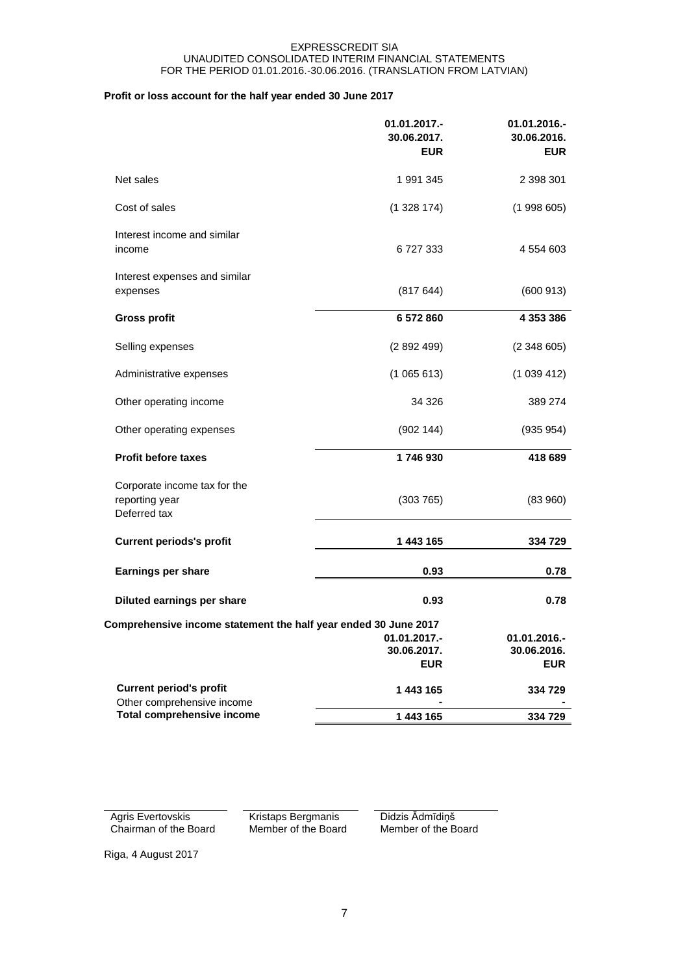# **Profit or loss account for the half year ended 30 June 2017**

|                                                                 | 01.01.2017.-<br>30.06.2017.<br><b>EUR</b> | 01.01.2016.-<br>30.06.2016.<br><b>EUR</b> |
|-----------------------------------------------------------------|-------------------------------------------|-------------------------------------------|
| Net sales                                                       | 1991345                                   | 2 398 301                                 |
| Cost of sales                                                   | (1328174)                                 | (1998605)                                 |
| Interest income and similar<br>income                           | 6727333                                   | 4 554 603                                 |
| Interest expenses and similar<br>expenses                       | (817644)                                  | (600913)                                  |
| <b>Gross profit</b>                                             | 6572860                                   | 4 353 386                                 |
| Selling expenses                                                | (2892499)                                 | (2348605)                                 |
| Administrative expenses                                         | (1065613)                                 | (1039412)                                 |
| Other operating income                                          | 34 326                                    | 389 274                                   |
| Other operating expenses                                        | (902 144)                                 | (935954)                                  |
| <b>Profit before taxes</b>                                      | 1746930                                   | 418 689                                   |
| Corporate income tax for the<br>reporting year<br>Deferred tax  | (303765)                                  | (83960)                                   |
| <b>Current periods's profit</b>                                 | 1 443 165                                 | 334 729                                   |
| Earnings per share                                              | 0.93                                      | 0.78                                      |
| Diluted earnings per share                                      | 0.93                                      | 0.78                                      |
| Comprehensive income statement the half year ended 30 June 2017 |                                           |                                           |
|                                                                 | 01.01.2017.-<br>30.06.2017.<br><b>EUR</b> | 01.01.2016.-<br>30.06.2016.<br><b>EUR</b> |
| <b>Current period's profit</b><br>Other comprehensive income    | 1 443 165                                 | 334 729                                   |
| <b>Total comprehensive income</b>                               | 1 443 165                                 | 334 729                                   |

Agris Evertovskis Chairman of the Board Kristaps Bergmanis Member of the Board Didzis Ādmīdiņš Member of the Board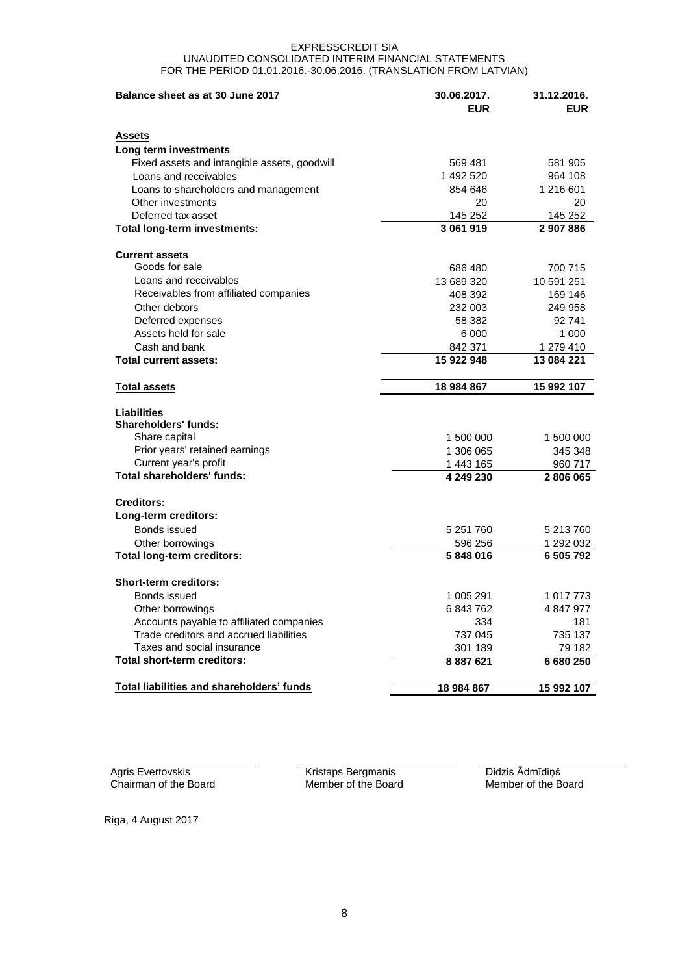| Balance sheet as at 30 June 2017                 | 30.06.2017. | 31.12.2016. |
|--------------------------------------------------|-------------|-------------|
|                                                  | <b>EUR</b>  | <b>EUR</b>  |
| <b>Assets</b>                                    |             |             |
| Long term investments                            |             |             |
| Fixed assets and intangible assets, goodwill     | 569 481     | 581 905     |
| Loans and receivables                            | 1 492 520   | 964 108     |
| Loans to shareholders and management             | 854 646     | 1 216 601   |
| Other investments                                | 20          | 20          |
| Deferred tax asset                               | 145 252     | 145 252     |
| Total long-term investments:                     | 3 061 919   | 2 907 886   |
| <b>Current assets</b>                            |             |             |
| Goods for sale                                   | 686 480     | 700 715     |
| Loans and receivables                            | 13 689 320  | 10 591 251  |
| Receivables from affiliated companies            | 408 392     | 169 146     |
| Other debtors                                    | 232 003     | 249 958     |
| Deferred expenses                                | 58 382      | 92 741      |
| Assets held for sale                             | 6 000       | 1 000       |
| Cash and bank                                    | 842 371     | 1 279 410   |
| <b>Total current assets:</b>                     | 15 922 948  | 13 084 221  |
| <b>Total assets</b>                              | 18 984 867  | 15 992 107  |
| <b>Liabilities</b>                               |             |             |
| Shareholders' funds:                             |             |             |
| Share capital                                    | 1 500 000   | 1 500 000   |
| Prior years' retained earnings                   | 1 306 065   | 345 348     |
| Current year's profit                            | 1 443 165   | 960 717     |
| Total shareholders' funds:                       | 4 249 230   | 2806065     |
| <b>Creditors:</b>                                |             |             |
| Long-term creditors:                             |             |             |
| Bonds issued                                     | 5 251 760   | 5 213 760   |
| Other borrowings                                 | 596 256     | 1 292 032   |
| <b>Total long-term creditors:</b>                | 5848016     | 6 505 792   |
| <b>Short-term creditors:</b>                     |             |             |
| Bonds issued                                     | 1 005 291   | 1 017 773   |
| Other borrowings                                 | 6 843 762   | 4 847 977   |
| Accounts payable to affiliated companies         | 334         | 181         |
| Trade creditors and accrued liabilities          | 737 045     | 735 137     |
| Taxes and social insurance                       | 301 189     | 79 182      |
| Total short-term creditors:                      | 8 887 621   | 6 680 250   |
| <b>Total liabilities and shareholders' funds</b> | 18 984 867  | 15 992 107  |

Agris Evertovskis Chairman of the Board Kristaps Bergmanis Member of the Board Didzis Ādmīdiņš Member of the Board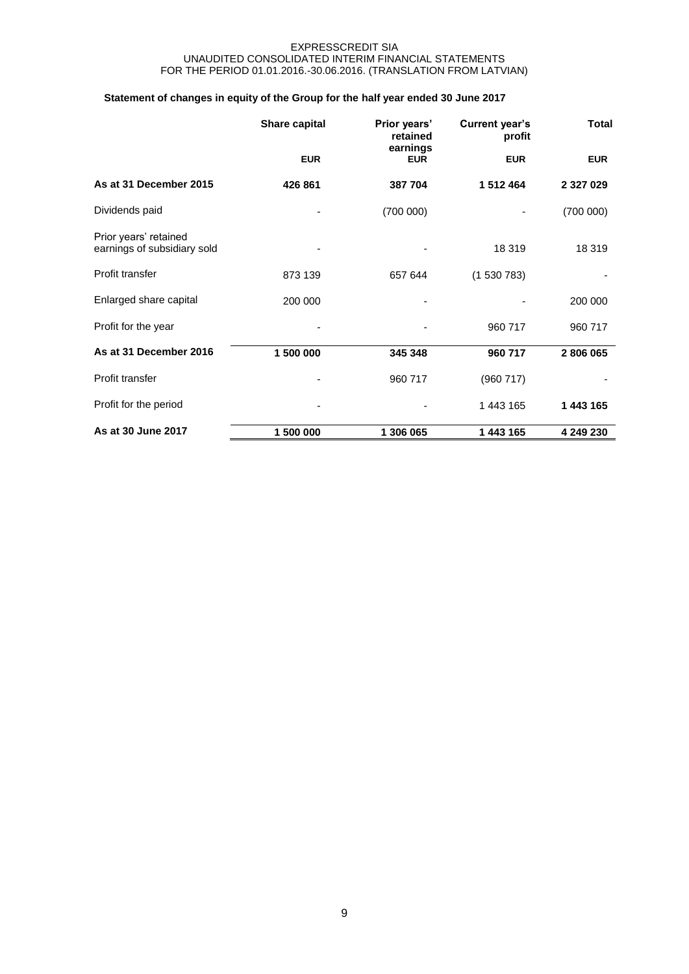# **Statement of changes in equity of the Group for the half year ended 30 June 2017**

|                                                      | <b>Share capital</b> | Prior years'<br>retained | <b>Current year's</b><br>profit | <b>Total</b>  |  |
|------------------------------------------------------|----------------------|--------------------------|---------------------------------|---------------|--|
|                                                      | <b>EUR</b>           | earnings<br><b>EUR</b>   | <b>EUR</b>                      | <b>EUR</b>    |  |
| As at 31 December 2015                               | 426 861              | 387 704                  | 1512464                         | 2 3 2 7 0 2 9 |  |
| Dividends paid                                       |                      | (700000)                 |                                 | (700000)      |  |
| Prior years' retained<br>earnings of subsidiary sold |                      |                          | 18 319                          | 18 3 19       |  |
| Profit transfer                                      | 873 139              | 657 644                  | (1530783)                       |               |  |
| Enlarged share capital                               | 200 000              |                          |                                 | 200 000       |  |
| Profit for the year                                  |                      |                          | 960 717                         | 960 717       |  |
| As at 31 December 2016                               | 1 500 000            | 345 348                  | 960 717                         | 2806065       |  |
| Profit transfer                                      |                      | 960 717                  | (960717)                        |               |  |
| Profit for the period                                |                      |                          | 1 443 165                       | 1 443 165     |  |
| As at 30 June 2017                                   | 1 500 000            | 1 306 065                | 1 443 165                       | 4 249 230     |  |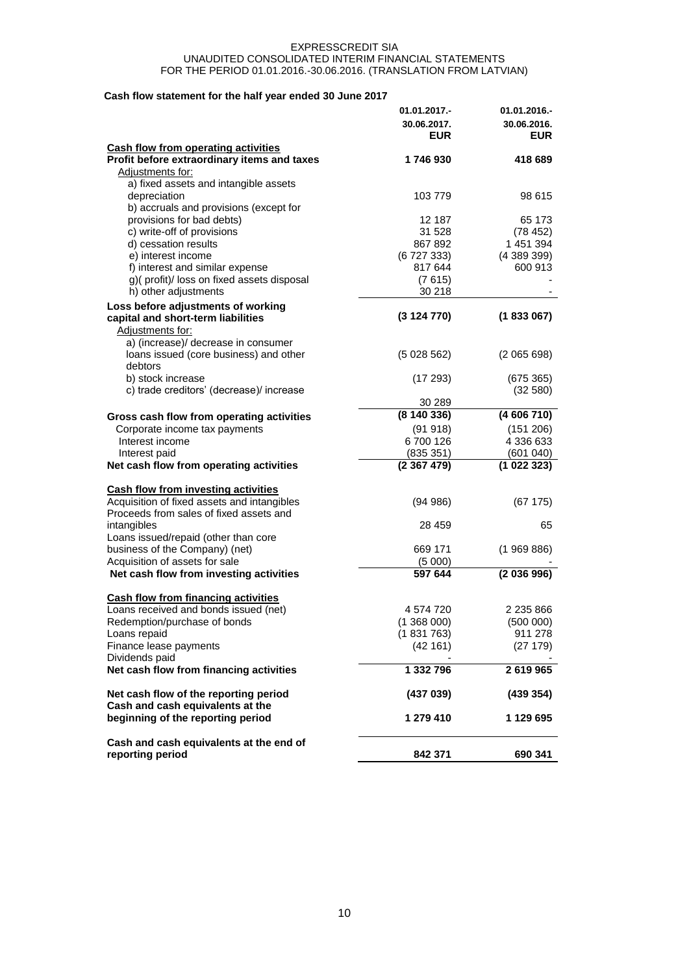# **Cash flow statement for the half year ended 30 June 2017**

| 311 HOW Statement for the name year ended 50 June 2017 | 01.01.2017.-<br>30.06.2017.<br><b>EUR</b> | 01.01.2016.-<br>30.06.2016.<br><b>EUR</b> |
|--------------------------------------------------------|-------------------------------------------|-------------------------------------------|
| <b>Cash flow from operating activities</b>             |                                           |                                           |
| Profit before extraordinary items and taxes            | 1746930                                   | 418 689                                   |
| Adjustments for:                                       |                                           |                                           |
| a) fixed assets and intangible assets                  |                                           |                                           |
| depreciation                                           | 103 779                                   | 98 615                                    |
| b) accruals and provisions (except for                 |                                           |                                           |
| provisions for bad debts)                              | 12 187                                    | 65 173                                    |
| c) write-off of provisions                             | 31 528                                    | (78452)                                   |
| d) cessation results                                   | 867 892                                   | 1 451 394                                 |
| e) interest income                                     | (6727333)                                 | (438939)                                  |
| f) interest and similar expense                        | 817 644                                   | 600 913                                   |
| g)(profit)/loss on fixed assets disposal               | (7615)                                    |                                           |
| h) other adjustments                                   | 30 218                                    |                                           |
| Loss before adjustments of working                     |                                           |                                           |
| capital and short-term liabilities                     | (3124770)                                 | (1833067)                                 |
| Adjustments for:                                       |                                           |                                           |
| a) (increase)/ decrease in consumer                    |                                           |                                           |
| loans issued (core business) and other                 | (5028562)                                 | (2065698)                                 |
| debtors                                                |                                           |                                           |
| b) stock increase                                      | (17293)                                   | (675 365)                                 |
| c) trade creditors' (decrease)/ increase               |                                           | (32 580)                                  |
|                                                        | 30 289                                    |                                           |
| Gross cash flow from operating activities              | (8140336)                                 | (4606710)                                 |
| Corporate income tax payments                          | (91918)                                   | (151 206)                                 |
| Interest income                                        | 6700126                                   | 4 336 633                                 |
| Interest paid                                          | (835 351)                                 | (601 040)                                 |
| Net cash flow from operating activities                | (2367479)                                 | (1022323)                                 |
|                                                        |                                           |                                           |
| <b>Cash flow from investing activities</b>             |                                           |                                           |
| Acquisition of fixed assets and intangibles            | (94986)                                   | (67175)                                   |
| Proceeds from sales of fixed assets and                |                                           |                                           |
| intangibles                                            | 28 459                                    | 65                                        |
| Loans issued/repaid (other than core                   |                                           |                                           |
| business of the Company) (net)                         | 669 171                                   | (1969886)                                 |
| Acquisition of assets for sale                         | (5000)                                    |                                           |
| Net cash flow from investing activities                | 597 644                                   | (2 036 996)                               |
| <b>Cash flow from financing activities</b>             |                                           |                                           |
| Loans received and bonds issued (net)                  | 4 574 720                                 | 2 235 866                                 |
| Redemption/purchase of bonds                           | (1368000)                                 | (500000)                                  |
| Loans repaid                                           | (1831763)                                 | 911 278                                   |
| Finance lease payments                                 | (42161)                                   | (27179)                                   |
| Dividends paid                                         |                                           |                                           |
| Net cash flow from financing activities                | 1 332 796                                 | 2619965                                   |
|                                                        |                                           |                                           |
| Net cash flow of the reporting period                  | (437 039)                                 | (439 354)                                 |
| Cash and cash equivalents at the                       |                                           |                                           |
| beginning of the reporting period                      | 1 279 410                                 | 1 129 695                                 |
| Cash and cash equivalents at the end of                |                                           |                                           |
| reporting period                                       | 842 371                                   | 690 341                                   |
|                                                        |                                           |                                           |